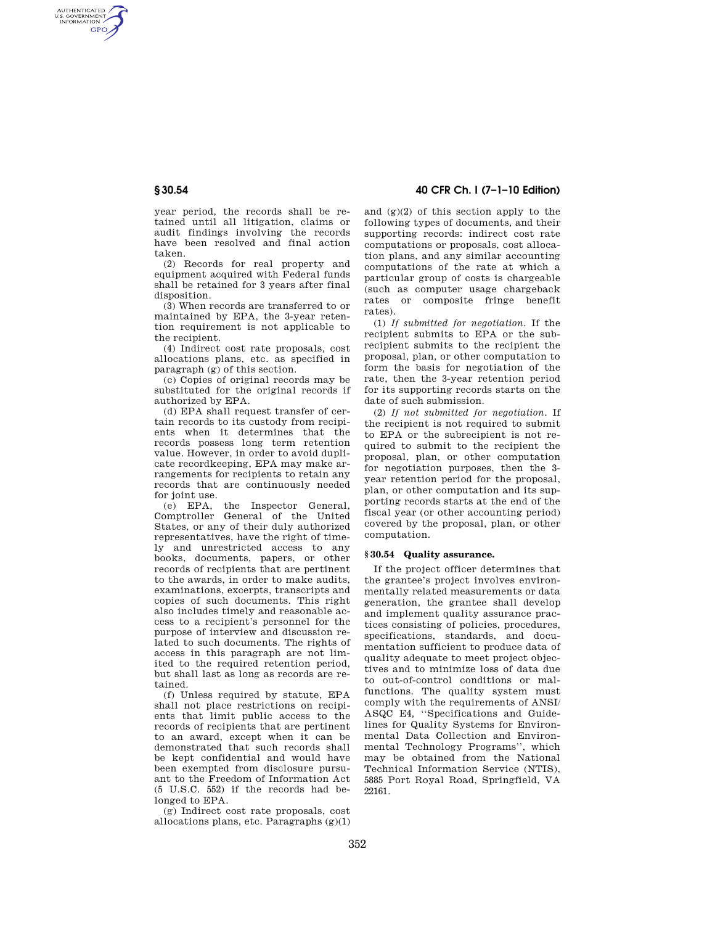AUTHENTICATED<br>U.S. GOVERNMENT<br>INFORMATION **GPO** 

> year period, the records shall be retained until all litigation, claims or audit findings involving the records have been resolved and final action taken.

(2) Records for real property and equipment acquired with Federal funds shall be retained for 3 years after final disposition.

(3) When records are transferred to or maintained by EPA, the 3-year retention requirement is not applicable to the recipient.

(4) Indirect cost rate proposals, cost allocations plans, etc. as specified in paragraph (g) of this section.

(c) Copies of original records may be substituted for the original records if authorized by EPA.

(d) EPA shall request transfer of certain records to its custody from recipients when it determines that the records possess long term retention value. However, in order to avoid duplicate recordkeeping, EPA may make arrangements for recipients to retain any records that are continuously needed for joint use.

(e) EPA, the Inspector General, Comptroller General of the United States, or any of their duly authorized representatives, have the right of timely and unrestricted access to any books, documents, papers, or other records of recipients that are pertinent to the awards, in order to make audits, examinations, excerpts, transcripts and copies of such documents. This right also includes timely and reasonable access to a recipient's personnel for the purpose of interview and discussion related to such documents. The rights of access in this paragraph are not limited to the required retention period, but shall last as long as records are retained.

(f) Unless required by statute, EPA shall not place restrictions on recipients that limit public access to the records of recipients that are pertinent to an award, except when it can be demonstrated that such records shall be kept confidential and would have been exempted from disclosure pursuant to the Freedom of Information Act (5 U.S.C. 552) if the records had belonged to EPA.

(g) Indirect cost rate proposals, cost allocations plans, etc. Paragraphs  $(g)(1)$ 

# **§ 30.54 40 CFR Ch. I (7–1–10 Edition)**

and (g)(2) of this section apply to the following types of documents, and their supporting records: indirect cost rate computations or proposals, cost allocation plans, and any similar accounting computations of the rate at which a particular group of costs is chargeable (such as computer usage chargeback rates or composite fringe benefit rates).

(1) *If submitted for negotiation.* If the recipient submits to EPA or the subrecipient submits to the recipient the proposal, plan, or other computation to form the basis for negotiation of the rate, then the 3-year retention period for its supporting records starts on the date of such submission.

(2) *If not submitted for negotiation.* If the recipient is not required to submit to EPA or the subrecipient is not required to submit to the recipient the proposal, plan, or other computation for negotiation purposes, then the 3 year retention period for the proposal, plan, or other computation and its supporting records starts at the end of the fiscal year (or other accounting period) covered by the proposal, plan, or other computation.

## **§ 30.54 Quality assurance.**

If the project officer determines that the grantee's project involves environmentally related measurements or data generation, the grantee shall develop and implement quality assurance practices consisting of policies, procedures, specifications, standards, and documentation sufficient to produce data of quality adequate to meet project objectives and to minimize loss of data due to out-of-control conditions or malfunctions. The quality system must comply with the requirements of ANSI/ ASQC E4, ''Specifications and Guidelines for Quality Systems for Environmental Data Collection and Environmental Technology Programs'', which may be obtained from the National Technical Information Service (NTIS), 5885 Port Royal Road, Springfield, VA 22161.